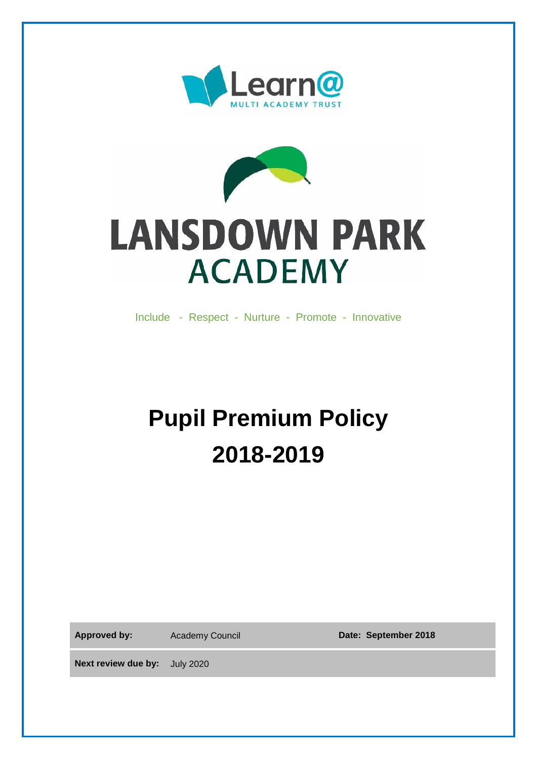



# **LANSDOWN PARK ACADEMY**

Include - Respect - Nurture - Promote - Innovative

## **Pupil Premium Policy 2018-2019**

Approved by: Academy Council **Date: September 2018** 

**Next review due by:** July 2020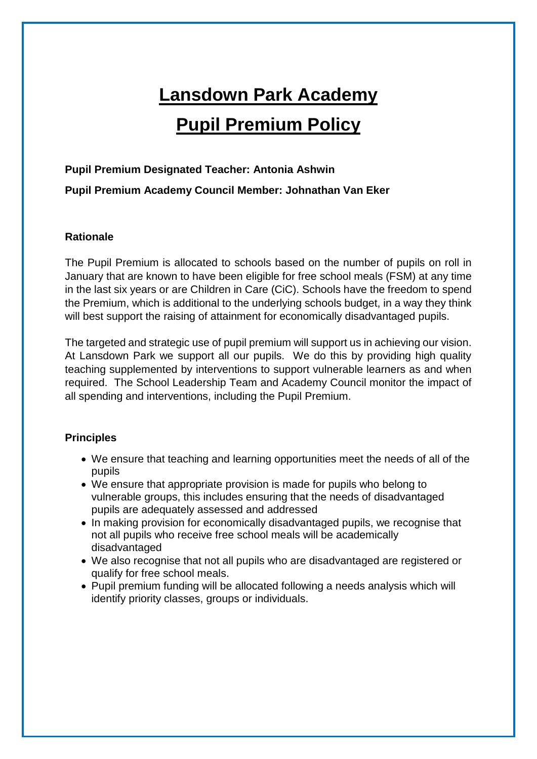### **Lansdown Park Academy Pupil Premium Policy**

#### **Pupil Premium Designated Teacher: Antonia Ashwin**

**Pupil Premium Academy Council Member: Johnathan Van Eker**

#### **Rationale**

The Pupil Premium is allocated to schools based on the number of pupils on roll in January that are known to have been eligible for free school meals (FSM) at any time in the last six years or are Children in Care (CiC). Schools have the freedom to spend the Premium, which is additional to the underlying schools budget, in a way they think will best support the raising of attainment for economically disadvantaged pupils.

The targeted and strategic use of pupil premium will support us in achieving our vision. At Lansdown Park we support all our pupils. We do this by providing high quality teaching supplemented by interventions to support vulnerable learners as and when required. The School Leadership Team and Academy Council monitor the impact of all spending and interventions, including the Pupil Premium.

#### **Principles**

- We ensure that teaching and learning opportunities meet the needs of all of the pupils
- We ensure that appropriate provision is made for pupils who belong to vulnerable groups, this includes ensuring that the needs of disadvantaged pupils are adequately assessed and addressed
- In making provision for economically disadvantaged pupils, we recognise that not all pupils who receive free school meals will be academically disadvantaged
- We also recognise that not all pupils who are disadvantaged are registered or qualify for free school meals.
- Pupil premium funding will be allocated following a needs analysis which will identify priority classes, groups or individuals.